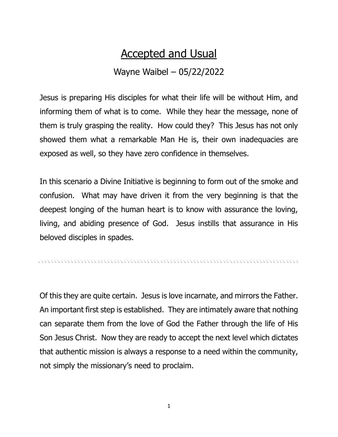## Accepted and Usual

## Wayne Waibel – 05/22/2022

Jesus is preparing His disciples for what their life will be without Him, and informing them of what is to come. While they hear the message, none of them is truly grasping the reality. How could they? This Jesus has not only showed them what a remarkable Man He is, their own inadequacies are exposed as well, so they have zero confidence in themselves.

In this scenario a Divine Initiative is beginning to form out of the smoke and confusion. What may have driven it from the very beginning is that the deepest longing of the human heart is to know with assurance the loving, living, and abiding presence of God. Jesus instills that assurance in His beloved disciples in spades.

Of this they are quite certain. Jesus is love incarnate, and mirrors the Father. An important first step is established. They are intimately aware that nothing can separate them from the love of God the Father through the life of His Son Jesus Christ. Now they are ready to accept the next level which dictates that authentic mission is always a response to a need within the community, not simply the missionary's need to proclaim.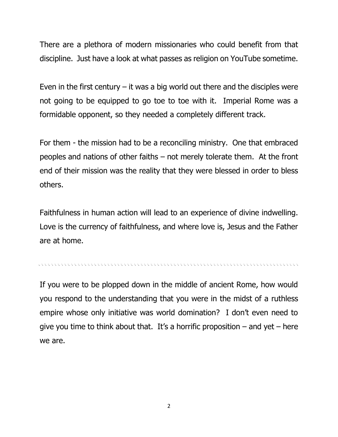There are a plethora of modern missionaries who could benefit from that discipline. Just have a look at what passes as religion on YouTube sometime.

Even in the first century  $-$  it was a big world out there and the disciples were not going to be equipped to go toe to toe with it. Imperial Rome was a formidable opponent, so they needed a completely different track.

For them - the mission had to be a reconciling ministry. One that embraced peoples and nations of other faiths – not merely tolerate them. At the front end of their mission was the reality that they were blessed in order to bless others.

Faithfulness in human action will lead to an experience of divine indwelling. Love is the currency of faithfulness, and where love is, Jesus and the Father are at home.

If you were to be plopped down in the middle of ancient Rome, how would you respond to the understanding that you were in the midst of a ruthless empire whose only initiative was world domination? I don't even need to give you time to think about that. It's a horrific proposition  $-$  and yet  $-$  here we are.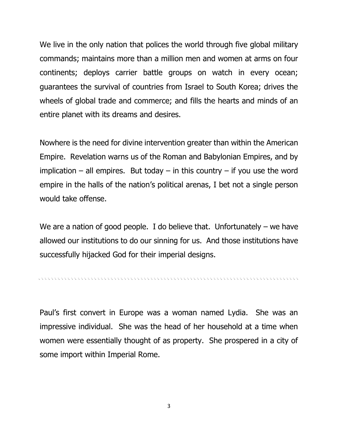We live in the only nation that polices the world through five global military commands; maintains more than a million men and women at arms on four continents; deploys carrier battle groups on watch in every ocean; guarantees the survival of countries from Israel to South Korea; drives the wheels of global trade and commerce; and fills the hearts and minds of an entire planet with its dreams and desires.

Nowhere is the need for divine intervention greater than within the American Empire. Revelation warns us of the Roman and Babylonian Empires, and by implication – all empires. But today – in this country – if you use the word empire in the halls of the nation's political arenas, I bet not a single person would take offense.

We are a nation of good people. I do believe that. Unfortunately – we have allowed our institutions to do our sinning for us. And those institutions have successfully hijacked God for their imperial designs.

Paul's first convert in Europe was a woman named Lydia. She was an impressive individual. She was the head of her household at a time when women were essentially thought of as property. She prospered in a city of some import within Imperial Rome.

3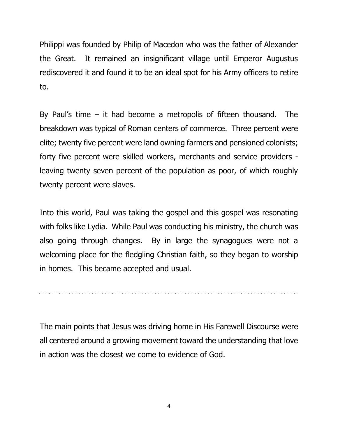Philippi was founded by Philip of Macedon who was the father of Alexander the Great. It remained an insignificant village until Emperor Augustus rediscovered it and found it to be an ideal spot for his Army officers to retire to.

By Paul's time  $-$  it had become a metropolis of fifteen thousand. The breakdown was typical of Roman centers of commerce. Three percent were elite; twenty five percent were land owning farmers and pensioned colonists; forty five percent were skilled workers, merchants and service providers leaving twenty seven percent of the population as poor, of which roughly twenty percent were slaves.

Into this world, Paul was taking the gospel and this gospel was resonating with folks like Lydia. While Paul was conducting his ministry, the church was also going through changes. By in large the synagogues were not a welcoming place for the fledgling Christian faith, so they began to worship in homes. This became accepted and usual.

The main points that Jesus was driving home in His Farewell Discourse were all centered around a growing movement toward the understanding that love in action was the closest we come to evidence of God.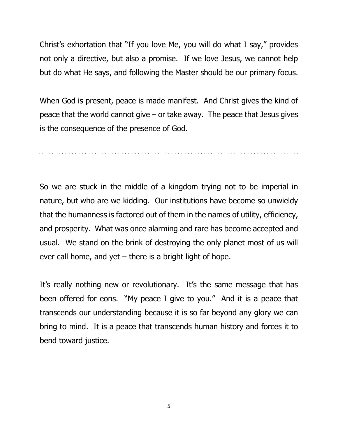Christ's exhortation that "If you love Me, you will do what I say," provides not only a directive, but also a promise. If we love Jesus, we cannot help but do what He says, and following the Master should be our primary focus.

When God is present, peace is made manifest. And Christ gives the kind of peace that the world cannot give – or take away. The peace that Jesus gives is the consequence of the presence of God.

. A CONTRACTOR A CONTRACTOR A CONTRACTOR A CONTRACTOR A CONTRACTOR A CONTRACTOR A CONTRACTOR A CONTRACTOR A CO

So we are stuck in the middle of a kingdom trying not to be imperial in nature, but who are we kidding. Our institutions have become so unwieldy that the humanness is factored out of them in the names of utility, efficiency, and prosperity. What was once alarming and rare has become accepted and usual. We stand on the brink of destroying the only planet most of us will ever call home, and yet – there is a bright light of hope.

It's really nothing new or revolutionary. It's the same message that has been offered for eons. "My peace I give to you." And it is a peace that transcends our understanding because it is so far beyond any glory we can bring to mind. It is a peace that transcends human history and forces it to bend toward justice.